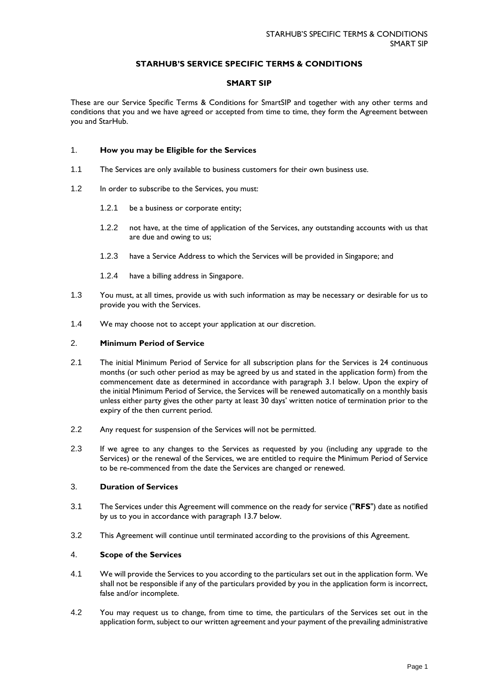## **STARHUB'S SERVICE SPECIFIC TERMS & CONDITIONS**

## **SMART SIP**

These are our Service Specific Terms & Conditions for SmartSIP and together with any other terms and conditions that you and we have agreed or accepted from time to time, they form the Agreement between you and StarHub.

## 1. **How you may be Eligible for the Services**

- 1.1 The Services are only available to business customers for their own business use.
- 1.2 In order to subscribe to the Services, you must:
	- 1.2.1 be a business or corporate entity;
	- 1.2.2 not have, at the time of application of the Services, any outstanding accounts with us that are due and owing to us;
	- 1.2.3 have a Service Address to which the Services will be provided in Singapore; and
	- 1.2.4 have a billing address in Singapore.
- 1.3 You must, at all times, provide us with such information as may be necessary or desirable for us to provide you with the Services.
- 1.4 We may choose not to accept your application at our discretion.

#### 2. **Minimum Period of Service**

- 2.1 The initial Minimum Period of Service for all subscription plans for the Services is 24 continuous months (or such other period as may be agreed by us and stated in the application form) from the commencement date as determined in accordance with paragraph 3.1 below. Upon the expiry of the initial Minimum Period of Service, the Services will be renewed automatically on a monthly basis unless either party gives the other party at least 30 days' written notice of termination prior to the expiry of the then current period.
- 2.2 Any request for suspension of the Services will not be permitted.
- 2.3 If we agree to any changes to the Services as requested by you (including any upgrade to the Services) or the renewal of the Services, we are entitled to require the Minimum Period of Service to be re-commenced from the date the Services are changed or renewed.

## 3. **Duration of Services**

- 3.1 The Services under this Agreement will commence on the ready for service ("**RFS**") date as notified by us to you in accordance with paragraph 13.7 below.
- 3.2 This Agreement will continue until terminated according to the provisions of this Agreement.

## 4. **Scope of the Services**

- 4.1 We will provide the Services to you according to the particulars set out in the application form. We shall not be responsible if any of the particulars provided by you in the application form is incorrect, false and/or incomplete.
- 4.2 You may request us to change, from time to time, the particulars of the Services set out in the application form, subject to our written agreement and your payment of the prevailing administrative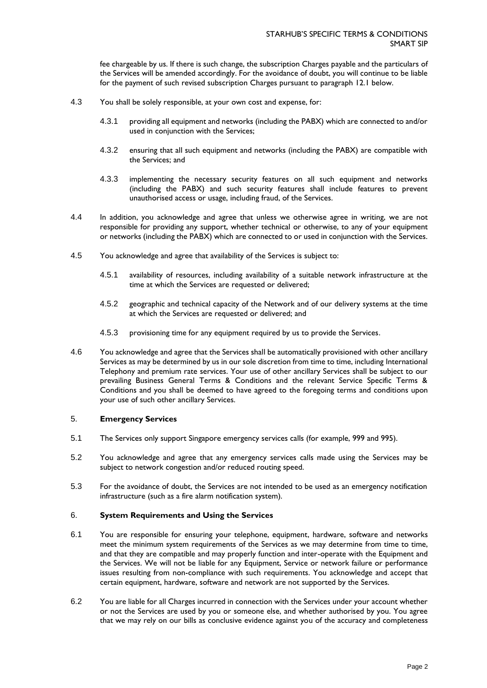fee chargeable by us. If there is such change, the subscription Charges payable and the particulars of the Services will be amended accordingly. For the avoidance of doubt, you will continue to be liable for the payment of such revised subscription Charges pursuant to paragraph 12.1 below.

- 4.3 You shall be solely responsible, at your own cost and expense, for:
	- 4.3.1 providing all equipment and networks (including the PABX) which are connected to and/or used in conjunction with the Services;
	- 4.3.2 ensuring that all such equipment and networks (including the PABX) are compatible with the Services; and
	- 4.3.3 implementing the necessary security features on all such equipment and networks (including the PABX) and such security features shall include features to prevent unauthorised access or usage, including fraud, of the Services.
- 4.4 In addition, you acknowledge and agree that unless we otherwise agree in writing, we are not responsible for providing any support, whether technical or otherwise, to any of your equipment or networks (including the PABX) which are connected to or used in conjunction with the Services.
- 4.5 You acknowledge and agree that availability of the Services is subject to:
	- 4.5.1 availability of resources, including availability of a suitable network infrastructure at the time at which the Services are requested or delivered;
	- 4.5.2 geographic and technical capacity of the Network and of our delivery systems at the time at which the Services are requested or delivered; and
	- 4.5.3 provisioning time for any equipment required by us to provide the Services.
- 4.6 You acknowledge and agree that the Services shall be automatically provisioned with other ancillary Services as may be determined by us in our sole discretion from time to time, including International Telephony and premium rate services. Your use of other ancillary Services shall be subject to our prevailing Business General Terms & Conditions and the relevant Service Specific Terms & Conditions and you shall be deemed to have agreed to the foregoing terms and conditions upon your use of such other ancillary Services.

## 5. **Emergency Services**

- 5.1 The Services only support Singapore emergency services calls (for example, 999 and 995).
- 5.2 You acknowledge and agree that any emergency services calls made using the Services may be subject to network congestion and/or reduced routing speed.
- 5.3 For the avoidance of doubt, the Services are not intended to be used as an emergency notification infrastructure (such as a fire alarm notification system).

## 6. **System Requirements and Using the Services**

- 6.1 You are responsible for ensuring your telephone, equipment, hardware, software and networks meet the minimum system requirements of the Services as we may determine from time to time, and that they are compatible and may properly function and inter-operate with the Equipment and the Services. We will not be liable for any Equipment, Service or network failure or performance issues resulting from non-compliance with such requirements. You acknowledge and accept that certain equipment, hardware, software and network are not supported by the Services.
- 6.2 You are liable for all Charges incurred in connection with the Services under your account whether or not the Services are used by you or someone else, and whether authorised by you. You agree that we may rely on our bills as conclusive evidence against you of the accuracy and completeness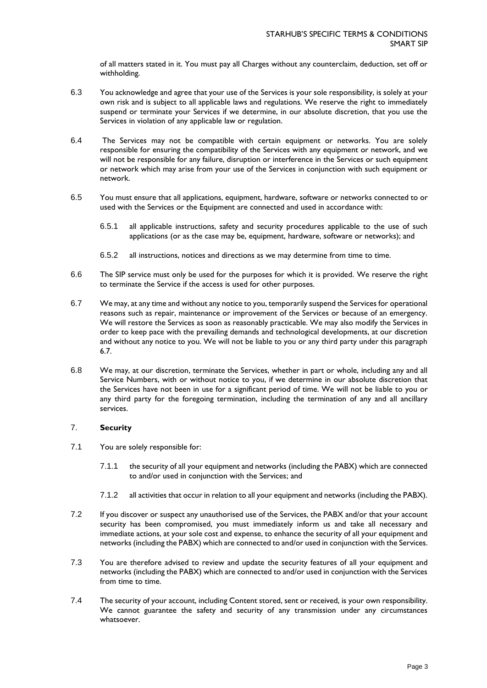of all matters stated in it. You must pay all Charges without any counterclaim, deduction, set off or withholding.

- 6.3 You acknowledge and agree that your use of the Services is your sole responsibility, is solely at your own risk and is subject to all applicable laws and regulations. We reserve the right to immediately suspend or terminate your Services if we determine, in our absolute discretion, that you use the Services in violation of any applicable law or regulation.
- 6.4 The Services may not be compatible with certain equipment or networks. You are solely responsible for ensuring the compatibility of the Services with any equipment or network, and we will not be responsible for any failure, disruption or interference in the Services or such equipment or network which may arise from your use of the Services in conjunction with such equipment or network.
- 6.5 You must ensure that all applications, equipment, hardware, software or networks connected to or used with the Services or the Equipment are connected and used in accordance with:
	- 6.5.1 all applicable instructions, safety and security procedures applicable to the use of such applications (or as the case may be, equipment, hardware, software or networks); and
	- 6.5.2 all instructions, notices and directions as we may determine from time to time.
- 6.6 The SIP service must only be used for the purposes for which it is provided. We reserve the right to terminate the Service if the access is used for other purposes.
- 6.7 We may, at any time and without any notice to you, temporarily suspend the Services for operational reasons such as repair, maintenance or improvement of the Services or because of an emergency. We will restore the Services as soon as reasonably practicable. We may also modify the Services in order to keep pace with the prevailing demands and technological developments, at our discretion and without any notice to you. We will not be liable to you or any third party under this paragraph 6.7.
- 6.8 We may, at our discretion, terminate the Services, whether in part or whole, including any and all Service Numbers, with or without notice to you, if we determine in our absolute discretion that the Services have not been in use for a significant period of time. We will not be liable to you or any third party for the foregoing termination, including the termination of any and all ancillary services.

## 7. **Security**

- 7.1 You are solely responsible for:
	- 7.1.1 the security of all your equipment and networks (including the PABX) which are connected to and/or used in conjunction with the Services; and
	- 7.1.2 all activities that occur in relation to all your equipment and networks (including the PABX).
- 7.2 If you discover or suspect any unauthorised use of the Services, the PABX and/or that your account security has been compromised, you must immediately inform us and take all necessary and immediate actions, at your sole cost and expense, to enhance the security of all your equipment and networks (including the PABX) which are connected to and/or used in conjunction with the Services.
- 7.3 You are therefore advised to review and update the security features of all your equipment and networks (including the PABX) which are connected to and/or used in conjunction with the Services from time to time.
- 7.4 The security of your account, including Content stored, sent or received, is your own responsibility. We cannot guarantee the safety and security of any transmission under any circumstances whatsoever.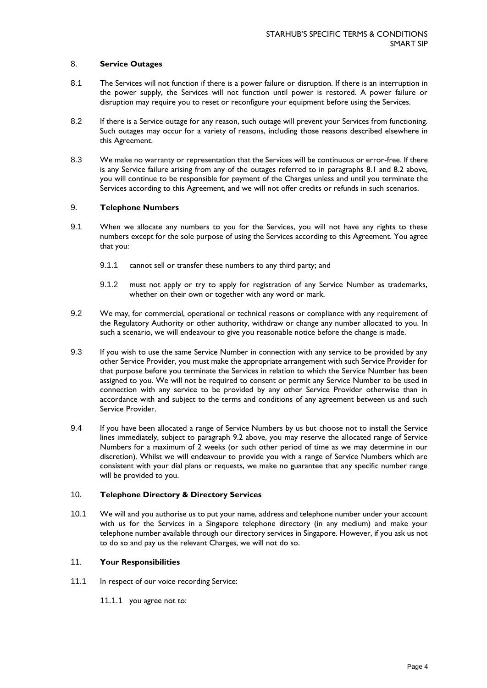## 8. **Service Outages**

- 8.1 The Services will not function if there is a power failure or disruption. If there is an interruption in the power supply, the Services will not function until power is restored. A power failure or disruption may require you to reset or reconfigure your equipment before using the Services.
- 8.2 If there is a Service outage for any reason, such outage will prevent your Services from functioning. Such outages may occur for a variety of reasons, including those reasons described elsewhere in this Agreement.
- 8.3 We make no warranty or representation that the Services will be continuous or error-free. If there is any Service failure arising from any of the outages referred to in paragraphs 8.1 and 8.2 above, you will continue to be responsible for payment of the Charges unless and until you terminate the Services according to this Agreement, and we will not offer credits or refunds in such scenarios.

## 9. **Telephone Numbers**

- 9.1 When we allocate any numbers to you for the Services, you will not have any rights to these numbers except for the sole purpose of using the Services according to this Agreement. You agree that you:
	- 9.1.1 cannot sell or transfer these numbers to any third party; and
	- 9.1.2 must not apply or try to apply for registration of any Service Number as trademarks, whether on their own or together with any word or mark.
- 9.2 We may, for commercial, operational or technical reasons or compliance with any requirement of the Regulatory Authority or other authority, withdraw or change any number allocated to you. In such a scenario, we will endeavour to give you reasonable notice before the change is made.
- 9.3 If you wish to use the same Service Number in connection with any service to be provided by any other Service Provider, you must make the appropriate arrangement with such Service Provider for that purpose before you terminate the Services in relation to which the Service Number has been assigned to you. We will not be required to consent or permit any Service Number to be used in connection with any service to be provided by any other Service Provider otherwise than in accordance with and subject to the terms and conditions of any agreement between us and such Service Provider.
- 9.4 If you have been allocated a range of Service Numbers by us but choose not to install the Service lines immediately, subject to paragraph 9.2 above, you may reserve the allocated range of Service Numbers for a maximum of 2 weeks (or such other period of time as we may determine in our discretion). Whilst we will endeavour to provide you with a range of Service Numbers which are consistent with your dial plans or requests, we make no guarantee that any specific number range will be provided to you.

# 10. **Telephone Directory & Directory Services**

10.1 We will and you authorise us to put your name, address and telephone number under your account with us for the Services in a Singapore telephone directory (in any medium) and make your telephone number available through our directory services in Singapore. However, if you ask us not to do so and pay us the relevant Charges, we will not do so.

# 11. **Your Responsibilities**

- 11.1 In respect of our voice recording Service:
	- 11.1.1 you agree not to: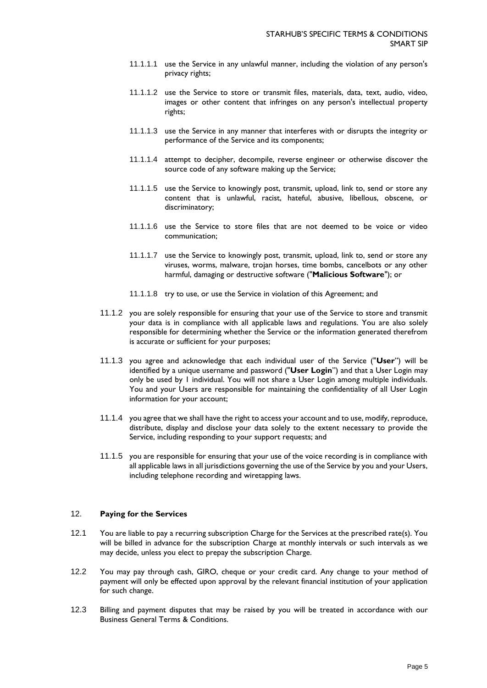- 11.1.1.1 use the Service in any unlawful manner, including the violation of any person's privacy rights;
- 11.1.1.2 use the Service to store or transmit files, materials, data, text, audio, video, images or other content that infringes on any person's intellectual property rights;
- 11.1.1.3 use the Service in any manner that interferes with or disrupts the integrity or performance of the Service and its components;
- 11.1.1.4 attempt to decipher, decompile, reverse engineer or otherwise discover the source code of any software making up the Service;
- 11.1.1.5 use the Service to knowingly post, transmit, upload, link to, send or store any content that is unlawful, racist, hateful, abusive, libellous, obscene, or discriminatory;
- 11.1.1.6 use the Service to store files that are not deemed to be voice or video communication;
- 11.1.1.7 use the Service to knowingly post, transmit, upload, link to, send or store any viruses, worms, malware, trojan horses, time bombs, cancelbots or any other harmful, damaging or destructive software ("**Malicious Software**"); or
- 11.1.1.8 try to use, or use the Service in violation of this Agreement; and
- 11.1.2 you are solely responsible for ensuring that your use of the Service to store and transmit your data is in compliance with all applicable laws and regulations. You are also solely responsible for determining whether the Service or the information generated therefrom is accurate or sufficient for your purposes;
- 11.1.3 you agree and acknowledge that each individual user of the Service ("**User**") will be identified by a unique username and password ("**User Login**") and that a User Login may only be used by 1 individual. You will not share a User Login among multiple individuals. You and your Users are responsible for maintaining the confidentiality of all User Login information for your account;
- 11.1.4 you agree that we shall have the right to access your account and to use, modify, reproduce, distribute, display and disclose your data solely to the extent necessary to provide the Service, including responding to your support requests; and
- 11.1.5 you are responsible for ensuring that your use of the voice recording is in compliance with all applicable laws in all jurisdictions governing the use of the Service by you and your Users, including telephone recording and wiretapping laws.

## 12. **Paying for the Services**

- 12.1 You are liable to pay a recurring subscription Charge for the Services at the prescribed rate(s). You will be billed in advance for the subscription Charge at monthly intervals or such intervals as we may decide, unless you elect to prepay the subscription Charge.
- 12.2 You may pay through cash, GIRO, cheque or your credit card. Any change to your method of payment will only be effected upon approval by the relevant financial institution of your application for such change.
- 12.3 Billing and payment disputes that may be raised by you will be treated in accordance with our Business General Terms & Conditions.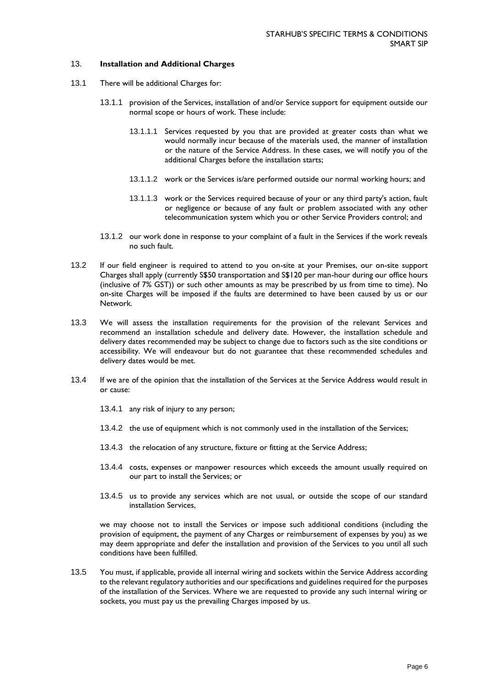## 13. **Installation and Additional Charges**

- 13.1 There will be additional Charges for:
	- 13.1.1 provision of the Services, installation of and/or Service support for equipment outside our normal scope or hours of work. These include:
		- 13.1.1.1 Services requested by you that are provided at greater costs than what we would normally incur because of the materials used, the manner of installation or the nature of the Service Address. In these cases, we will notify you of the additional Charges before the installation starts;
		- 13.1.1.2 work or the Services is/are performed outside our normal working hours; and
		- 13.1.1.3 work or the Services required because of your or any third party's action, fault or negligence or because of any fault or problem associated with any other telecommunication system which you or other Service Providers control; and
	- 13.1.2 our work done in response to your complaint of a fault in the Services if the work reveals no such fault.
- 13.2 If our field engineer is required to attend to you on-site at your Premises, our on-site support Charges shall apply (currently S\$50 transportation and S\$120 per man-hour during our office hours (inclusive of 7% GST)) or such other amounts as may be prescribed by us from time to time). No on-site Charges will be imposed if the faults are determined to have been caused by us or our Network.
- 13.3 We will assess the installation requirements for the provision of the relevant Services and recommend an installation schedule and delivery date. However, the installation schedule and delivery dates recommended may be subject to change due to factors such as the site conditions or accessibility. We will endeavour but do not guarantee that these recommended schedules and delivery dates would be met.
- 13.4 If we are of the opinion that the installation of the Services at the Service Address would result in or cause:
	- 13.4.1 any risk of injury to any person;
	- 13.4.2 the use of equipment which is not commonly used in the installation of the Services;
	- 13.4.3 the relocation of any structure, fixture or fitting at the Service Address;
	- 13.4.4 costs, expenses or manpower resources which exceeds the amount usually required on our part to install the Services; or
	- 13.4.5 us to provide any services which are not usual, or outside the scope of our standard installation Services,

we may choose not to install the Services or impose such additional conditions (including the provision of equipment, the payment of any Charges or reimbursement of expenses by you) as we may deem appropriate and defer the installation and provision of the Services to you until all such conditions have been fulfilled.

13.5 You must, if applicable, provide all internal wiring and sockets within the Service Address according to the relevant regulatory authorities and our specifications and guidelines required for the purposes of the installation of the Services. Where we are requested to provide any such internal wiring or sockets, you must pay us the prevailing Charges imposed by us.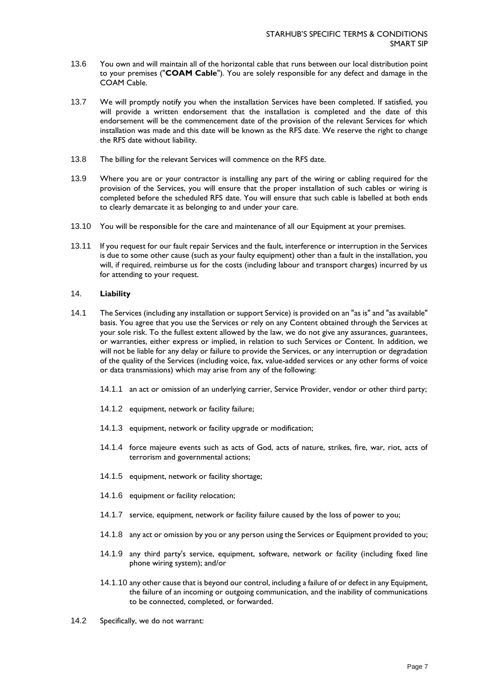- 13.6 You own and will maintain all of the horizontal cable that runs between our local distribution point to your premises ("**COAM Cable**"). You are solely responsible for any defect and damage in the COAM Cable.
- 13.7 We will promptly notify you when the installation Services have been completed. If satisfied, you will provide a written endorsement that the installation is completed and the date of this endorsement will be the commencement date of the provision of the relevant Services for which installation was made and this date will be known as the RFS date. We reserve the right to change the RFS date without liability.
- 13.8 The billing for the relevant Services will commence on the RFS date.
- 13.9 Where you are or your contractor is installing any part of the wiring or cabling required for the provision of the Services, you will ensure that the proper installation of such cables or wiring is completed before the scheduled RFS date. You will ensure that such cable is labelled at both ends to clearly demarcate it as belonging to and under your care.
- 13.10 You will be responsible for the care and maintenance of all our Equipment at your premises.
- 13.11 If you request for our fault repair Services and the fault, interference or interruption in the Services is due to some other cause (such as your faulty equipment) other than a fault in the installation, you will, if required, reimburse us for the costs (including labour and transport charges) incurred by us for attending to your request.

## 14. **Liability**

- 14.1 The Services (including any installation or support Service) is provided on an "as is" and "as available" basis. You agree that you use the Services or rely on any Content obtained through the Services at your sole risk. To the fullest extent allowed by the law, we do not give any assurances, guarantees, or warranties, either express or implied, in relation to such Services or Content. In addition, we will not be liable for any delay or failure to provide the Services, or any interruption or degradation of the quality of the Services (including voice, fax, value-added services or any other forms of voice or data transmissions) which may arise from any of the following:
	- 14.1.1 an act or omission of an underlying carrier, Service Provider, vendor or other third party;
	- 14.1.2 equipment, network or facility failure;
	- 14.1.3 equipment, network or facility upgrade or modification;
	- 14.1.4 force majeure events such as acts of God, acts of nature, strikes, fire, war, riot, acts of terrorism and governmental actions;
	- 14.1.5 equipment, network or facility shortage;
	- 14.1.6 equipment or facility relocation;
	- 14.1.7 service, equipment, network or facility failure caused by the loss of power to you;
	- 14.1.8 any act or omission by you or any person using the Services or Equipment provided to you;
	- 14.1.9 any third party's service, equipment, software, network or facility (including fixed line phone wiring system); and/or
	- 14.1.10 any other cause that is beyond our control, including a failure of or defect in any Equipment, the failure of an incoming or outgoing communication, and the inability of communications to be connected, completed, or forwarded.
- 14.2 Specifically, we do not warrant: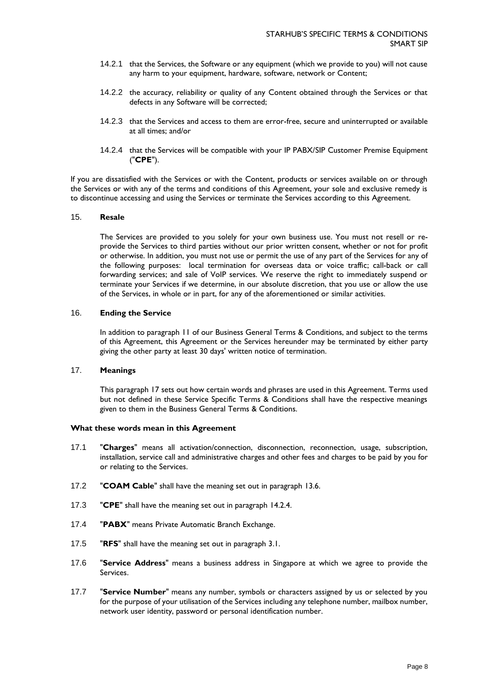- 14.2.1 that the Services, the Software or any equipment (which we provide to you) will not cause any harm to your equipment, hardware, software, network or Content;
- 14.2.2 the accuracy, reliability or quality of any Content obtained through the Services or that defects in any Software will be corrected;
- 14.2.3 that the Services and access to them are error-free, secure and uninterrupted or available at all times; and/or
- 14.2.4 that the Services will be compatible with your IP PABX/SIP Customer Premise Equipment ("**CPE**").

If you are dissatisfied with the Services or with the Content, products or services available on or through the Services or with any of the terms and conditions of this Agreement, your sole and exclusive remedy is to discontinue accessing and using the Services or terminate the Services according to this Agreement.

## 15. **Resale**

The Services are provided to you solely for your own business use. You must not resell or reprovide the Services to third parties without our prior written consent, whether or not for profit or otherwise. In addition, you must not use or permit the use of any part of the Services for any of the following purposes: local termination for overseas data or voice traffic; call-back or call forwarding services; and sale of VoIP services. We reserve the right to immediately suspend or terminate your Services if we determine, in our absolute discretion, that you use or allow the use of the Services, in whole or in part, for any of the aforementioned or similar activities.

#### 16. **Ending the Service**

In addition to paragraph 11 of our Business General Terms & Conditions, and subject to the terms of this Agreement, this Agreement or the Services hereunder may be terminated by either party giving the other party at least 30 days' written notice of termination.

# 17. **Meanings**

This paragraph 17 sets out how certain words and phrases are used in this Agreement. Terms used but not defined in these Service Specific Terms & Conditions shall have the respective meanings given to them in the Business General Terms & Conditions.

#### **What these words mean in this Agreement**

- 17.1 "**Charges**" means all activation/connection, disconnection, reconnection, usage, subscription, installation, service call and administrative charges and other fees and charges to be paid by you for or relating to the Services.
- 17.2 "**COAM Cable**" shall have the meaning set out in paragraph 13.6.
- 17.3 "**CPE**" shall have the meaning set out in paragraph 14.2.4.
- 17.4 "**PABX**" means Private Automatic Branch Exchange.
- 17.5 "**RFS**" shall have the meaning set out in paragraph 3.1.
- 17.6 "**Service Address**" means a business address in Singapore at which we agree to provide the Services.
- 17.7 "**Service Number**" means any number, symbols or characters assigned by us or selected by you for the purpose of your utilisation of the Services including any telephone number, mailbox number, network user identity, password or personal identification number.